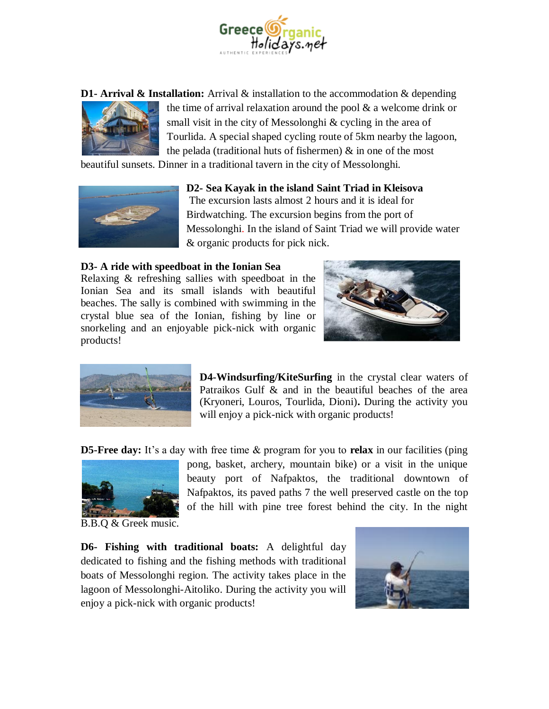

**D1- Arrival & Installation:** Arrival & installation to the accommodation & depending



the time of arrival relaxation around the pool & a welcome drink or small visit in the city of Messolonghi & cycling in the area of Tourlida. A special shaped cycling route of 5km nearby the lagoon, the pelada (traditional huts of fishermen) & in one of the most

beautiful sunsets. Dinner in a traditional tavern in the city of Messolonghi.



## **D2- Sea Kayak in the island Saint Triad in Kleisova**

The excursion lasts almost 2 hours and it is ideal for Birdwatching. The excursion begins from the port of Messolonghi. In the island of Saint Triad we will provide water & organic products for pick nick.

## **D3- A ride with speedboat in the Ionian Sea**

Relaxing & refreshing sallies with speedboat in the Ionian Sea and its small islands with beautiful beaches. The sally is combined with swimming in the crystal blue sea of the Ionian, fishing by line or snorkeling and an enjoyable pick-nick with organic products!





**D4-Windsurfing/KiteSurfing** in the crystal clear waters of Patraikos Gulf & and in the beautiful beaches of the area (Kryoneri, Louros, Tourlida, Dioni)**.** During the activity you will enjoy a pick-nick with organic products!

**D5-Free day:** It's a day with free time & program for you to **relax** in our facilities (ping



pong, basket, archery, mountain bike) or a visit in the unique beauty port of Nafpaktos, the traditional downtown of Nafpaktos, its paved paths 7 the well preserved castle on the top of the hill with pine tree forest behind the city. In the night

B.B.Q & Greek music.

**D6- Fishing with traditional boats:** A delightful day dedicated to fishing and the fishing methods with traditional boats of Messolonghi region. The activity takes place in the lagoon of Messolonghi-Aitoliko. During the activity you will enjoy a pick-nick with organic products!

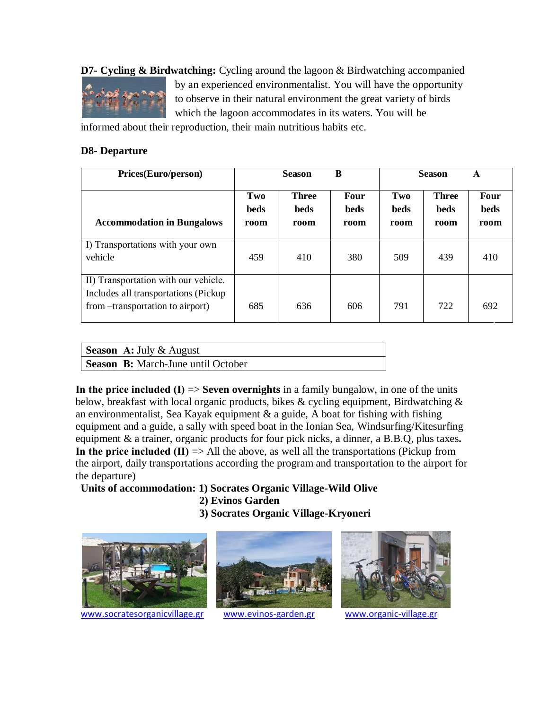**D7- Cycling & Birdwatching:** Cycling around the lagoon & Birdwatching accompanied



by an experienced environmentalist. You will have the opportunity to observe in their natural environment the great variety of birds which the lagoon accommodates in its waters. You will be

informed about their reproduction, their main nutritious habits etc.

## **D8- Departure**

| Prices(Euro/person)                                                                                               | B<br><b>Season</b>  |                                     |                             | <b>Season</b><br>A         |                                     |                             |
|-------------------------------------------------------------------------------------------------------------------|---------------------|-------------------------------------|-----------------------------|----------------------------|-------------------------------------|-----------------------------|
| <b>Accommodation in Bungalows</b>                                                                                 | Two<br>beds<br>room | <b>Three</b><br><b>beds</b><br>room | Four<br><b>beds</b><br>room | Two<br><b>beds</b><br>room | <b>Three</b><br><b>beds</b><br>room | <b>Four</b><br>beds<br>room |
| I) Transportations with your own<br>vehicle                                                                       | 459                 | 410                                 | 380                         | 509                        | 439                                 | 410                         |
| II) Transportation with our vehicle.<br>Includes all transportations (Pickup<br>from --transportation to airport) | 685                 | 636                                 | 606                         | 791                        | 722                                 | 692                         |

| <b>Season</b> A: July $\&$ August         |  |
|-------------------------------------------|--|
| <b>Season B:</b> March-June until October |  |

**In the price included (I) => Seven overnights** in a family bungalow, in one of the units below, breakfast with local organic products, bikes & cycling equipment, Birdwatching & an environmentalist, Sea Kayak equipment  $\&$  a guide, A boat for fishing with fishing equipment and a guide, a sally with speed boat in the Ionian Sea, Windsurfing/Kitesurfing equipment & a trainer, organic products for four pick nicks, a dinner, a B.B.Q, plus taxes**. In the price included (II)**  $\Rightarrow$  All the above, as well all the transportations (Pickup from the airport, daily transportations according the program and transportation to the airport for the departure)

## **Units of accommodation: 1) Socrates Organic Village-Wild Olive**

- **2) Evinos Garden**
- **3) Socrates Organic Village-Kryoneri**



[www.socratesorganicvillage.gr](http://www.socratesorganicvillage.gr/) [www.evinos-garden.gr](http://www.evinos-garden.gr/) [www.organic-village.gr](http://www.organic-village.gr/)